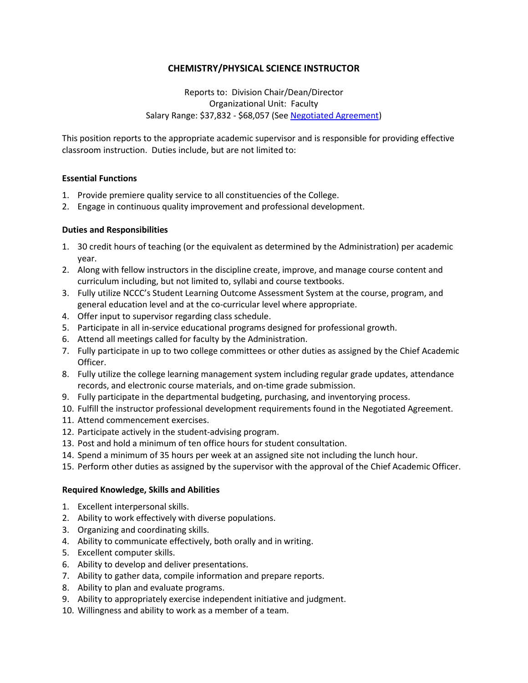# **CHEMISTRY/PHYSICAL SCIENCE INSTRUCTOR**

Reports to: Division Chair/Dean/Director Organizational Unit: Faculty Salary Range: \$37,832 - \$68,057 (See [Negotiated Agreement\)](http://www.neosho.edu/Portals/0/Departments/hr/PEA_Negotiated_Agreement.pdf)

This position reports to the appropriate academic supervisor and is responsible for providing effective classroom instruction. Duties include, but are not limited to:

### **Essential Functions**

- 1. Provide premiere quality service to all constituencies of the College.
- 2. Engage in continuous quality improvement and professional development.

### **Duties and Responsibilities**

- 1. 30 credit hours of teaching (or the equivalent as determined by the Administration) per academic year.
- 2. Along with fellow instructors in the discipline create, improve, and manage course content and curriculum including, but not limited to, syllabi and course textbooks.
- 3. Fully utilize NCCC's Student Learning Outcome Assessment System at the course, program, and general education level and at the co-curricular level where appropriate.
- 4. Offer input to supervisor regarding class schedule.
- 5. Participate in all in-service educational programs designed for professional growth.
- 6. Attend all meetings called for faculty by the Administration.
- 7. Fully participate in up to two college committees or other duties as assigned by the Chief Academic Officer.
- 8. Fully utilize the college learning management system including regular grade updates, attendance records, and electronic course materials, and on-time grade submission.
- 9. Fully participate in the departmental budgeting, purchasing, and inventorying process.
- 10. Fulfill the instructor professional development requirements found in the Negotiated Agreement.
- 11. Attend commencement exercises.
- 12. Participate actively in the student-advising program.
- 13. Post and hold a minimum of ten office hours for student consultation.
- 14. Spend a minimum of 35 hours per week at an assigned site not including the lunch hour.
- 15. Perform other duties as assigned by the supervisor with the approval of the Chief Academic Officer.

#### **Required Knowledge, Skills and Abilities**

- 1. Excellent interpersonal skills.
- 2. Ability to work effectively with diverse populations.
- 3. Organizing and coordinating skills.
- 4. Ability to communicate effectively, both orally and in writing.
- 5. Excellent computer skills.
- 6. Ability to develop and deliver presentations.
- 7. Ability to gather data, compile information and prepare reports.
- 8. Ability to plan and evaluate programs.
- 9. Ability to appropriately exercise independent initiative and judgment.
- 10. Willingness and ability to work as a member of a team.